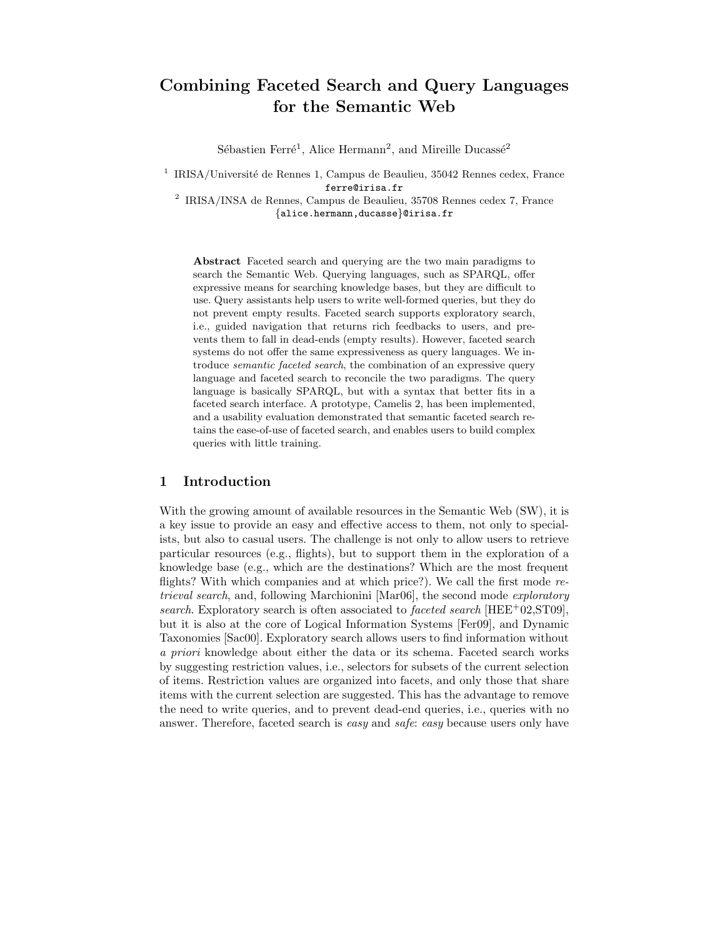# Combining Faceted Search and Query Languages for the Semantic Web

Sébastien Ferré<sup>1</sup>, Alice Hermann<sup>2</sup>, and Mireille Ducassé<sup>2</sup>

<sup>1</sup> IRISA/Université de Rennes 1, Campus de Beaulieu, 35042 Rennes cedex, France ferre@irisa.fr

2 IRISA/INSA de Rennes, Campus de Beaulieu, 35708 Rennes cedex 7, France {alice.hermann,ducasse}@irisa.fr

Abstract Faceted search and querying are the two main paradigms to search the Semantic Web. Querying languages, such as SPARQL, offer expressive means for searching knowledge bases, but they are difficult to use. Query assistants help users to write well-formed queries, but they do not prevent empty results. Faceted search supports exploratory search, i.e., guided navigation that returns rich feedbacks to users, and prevents them to fall in dead-ends (empty results). However, faceted search systems do not offer the same expressiveness as query languages. We introduce semantic faceted search, the combination of an expressive query language and faceted search to reconcile the two paradigms. The query language is basically SPARQL, but with a syntax that better fits in a faceted search interface. A prototype, Camelis 2, has been implemented, and a usability evaluation demonstrated that semantic faceted search retains the ease-of-use of faceted search, and enables users to build complex queries with little training.

## 1 Introduction

With the growing amount of available resources in the Semantic Web (SW), it is a key issue to provide an easy and effective access to them, not only to specialists, but also to casual users. The challenge is not only to allow users to retrieve particular resources (e.g., flights), but to support them in the exploration of a knowledge base (e.g., which are the destinations? Which are the most frequent flights? With which companies and at which price?). We call the first mode retrieval search, and, following Marchionini [Mar06], the second mode exploratory search. Exploratory search is often associated to faceted search  $[HEE^+02,\text{ST}09]$ , but it is also at the core of Logical Information Systems [Fer09], and Dynamic Taxonomies [Sac00]. Exploratory search allows users to find information without a priori knowledge about either the data or its schema. Faceted search works by suggesting restriction values, i.e., selectors for subsets of the current selection of items. Restriction values are organized into facets, and only those that share items with the current selection are suggested. This has the advantage to remove the need to write queries, and to prevent dead-end queries, i.e., queries with no answer. Therefore, faceted search is easy and safe: easy because users only have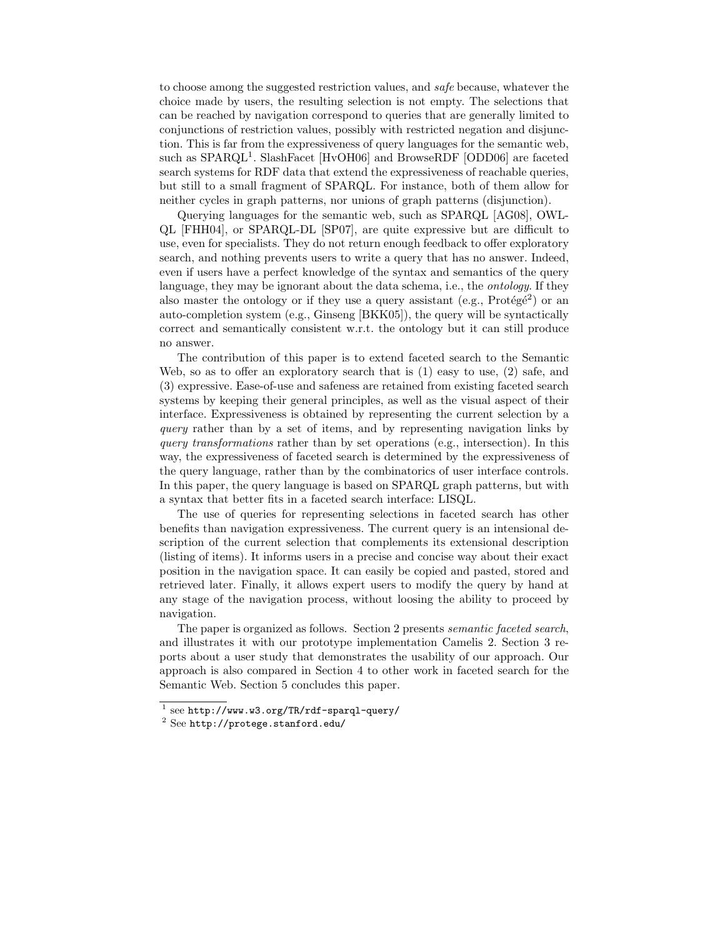to choose among the suggested restriction values, and safe because, whatever the choice made by users, the resulting selection is not empty. The selections that can be reached by navigation correspond to queries that are generally limited to conjunctions of restriction values, possibly with restricted negation and disjunction. This is far from the expressiveness of query languages for the semantic web, such as SPARQL<sup>1</sup>. SlashFacet [HvOH06] and BrowseRDF [ODD06] are faceted search systems for RDF data that extend the expressiveness of reachable queries, but still to a small fragment of SPARQL. For instance, both of them allow for neither cycles in graph patterns, nor unions of graph patterns (disjunction).

Querying languages for the semantic web, such as SPARQL [AG08], OWL-QL [FHH04], or SPARQL-DL [SP07], are quite expressive but are difficult to use, even for specialists. They do not return enough feedback to offer exploratory search, and nothing prevents users to write a query that has no answer. Indeed, even if users have a perfect knowledge of the syntax and semantics of the query language, they may be ignorant about the data schema, i.e., the *ontology*. If they also master the ontology or if they use a query assistant  $(e.g., Protégé<sup>2</sup>)$  or an auto-completion system (e.g., Ginseng [BKK05]), the query will be syntactically correct and semantically consistent w.r.t. the ontology but it can still produce no answer.

The contribution of this paper is to extend faceted search to the Semantic Web, so as to offer an exploratory search that is (1) easy to use, (2) safe, and (3) expressive. Ease-of-use and safeness are retained from existing faceted search systems by keeping their general principles, as well as the visual aspect of their interface. Expressiveness is obtained by representing the current selection by a query rather than by a set of items, and by representing navigation links by query transformations rather than by set operations (e.g., intersection). In this way, the expressiveness of faceted search is determined by the expressiveness of the query language, rather than by the combinatorics of user interface controls. In this paper, the query language is based on SPARQL graph patterns, but with a syntax that better fits in a faceted search interface: LISQL.

The use of queries for representing selections in faceted search has other benefits than navigation expressiveness. The current query is an intensional description of the current selection that complements its extensional description (listing of items). It informs users in a precise and concise way about their exact position in the navigation space. It can easily be copied and pasted, stored and retrieved later. Finally, it allows expert users to modify the query by hand at any stage of the navigation process, without loosing the ability to proceed by navigation.

The paper is organized as follows. Section 2 presents semantic faceted search, and illustrates it with our prototype implementation Camelis 2. Section 3 reports about a user study that demonstrates the usability of our approach. Our approach is also compared in Section 4 to other work in faceted search for the Semantic Web. Section 5 concludes this paper.

 $1$  see http://www.w3.org/TR/rdf-sparql-query/

<sup>2</sup> See http://protege.stanford.edu/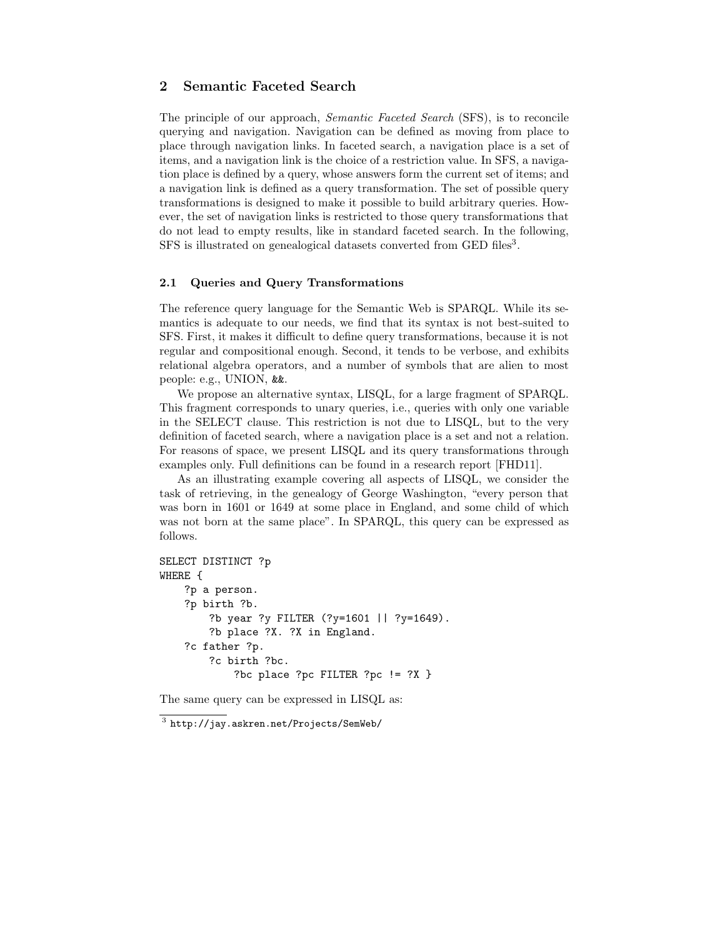# 2 Semantic Faceted Search

The principle of our approach, Semantic Faceted Search (SFS), is to reconcile querying and navigation. Navigation can be defined as moving from place to place through navigation links. In faceted search, a navigation place is a set of items, and a navigation link is the choice of a restriction value. In SFS, a navigation place is defined by a query, whose answers form the current set of items; and a navigation link is defined as a query transformation. The set of possible query transformations is designed to make it possible to build arbitrary queries. However, the set of navigation links is restricted to those query transformations that do not lead to empty results, like in standard faceted search. In the following, SFS is illustrated on genealogical datasets converted from GED files<sup>3</sup>.

#### 2.1 Queries and Query Transformations

The reference query language for the Semantic Web is SPARQL. While its semantics is adequate to our needs, we find that its syntax is not best-suited to SFS. First, it makes it difficult to define query transformations, because it is not regular and compositional enough. Second, it tends to be verbose, and exhibits relational algebra operators, and a number of symbols that are alien to most people: e.g., UNION, &&.

We propose an alternative syntax, LISQL, for a large fragment of SPARQL. This fragment corresponds to unary queries, i.e., queries with only one variable in the SELECT clause. This restriction is not due to LISQL, but to the very definition of faceted search, where a navigation place is a set and not a relation. For reasons of space, we present LISQL and its query transformations through examples only. Full definitions can be found in a research report [FHD11].

As an illustrating example covering all aspects of LISQL, we consider the task of retrieving, in the genealogy of George Washington, "every person that was born in 1601 or 1649 at some place in England, and some child of which was not born at the same place". In SPARQL, this query can be expressed as follows.

```
SELECT DISTINCT ?p
WHERE {
    ?p a person.
    ?p birth ?b.
        ?b year ?y FILTER (?y=1601 || ?y=1649).
        ?b place ?X. ?X in England.
    ?c father ?p.
        ?c birth ?bc.
            ?bc place ?pc FILTER ?pc != ?X }
```
The same query can be expressed in LISQL as:

 $^3$  http://jay.askren.net/Projects/SemWeb/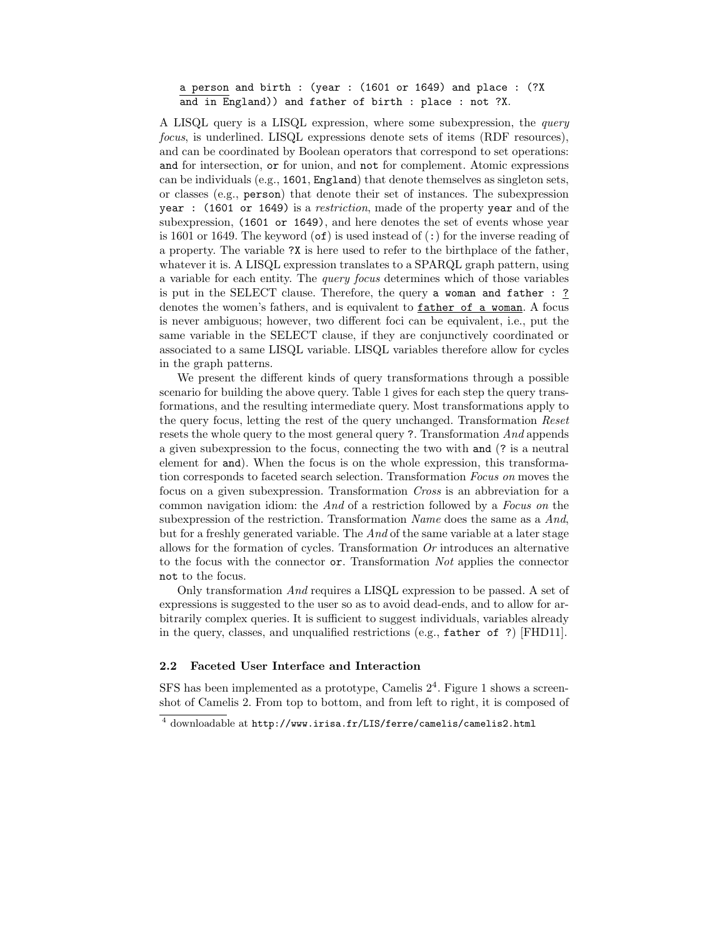a person and birth : (year : (1601 or 1649) and place : (?X and in England)) and father of birth : place : not ?X.

A LISQL query is a LISQL expression, where some subexpression, the query focus, is underlined. LISQL expressions denote sets of items (RDF resources), and can be coordinated by Boolean operators that correspond to set operations: and for intersection, or for union, and not for complement. Atomic expressions can be individuals (e.g., 1601, England) that denote themselves as singleton sets, or classes (e.g., person) that denote their set of instances. The subexpression year : (1601 or 1649) is a *restriction*, made of the property year and of the subexpression, (1601 or 1649), and here denotes the set of events whose year is 1601 or 1649. The keyword  $(\sigma f)$  is used instead of  $(\cdot)$  for the inverse reading of a property. The variable ?X is here used to refer to the birthplace of the father, whatever it is. A LISQL expression translates to a SPARQL graph pattern, using a variable for each entity. The query focus determines which of those variables is put in the SELECT clause. Therefore, the query a woman and father : ? denotes the women's fathers, and is equivalent to father of a woman. A focus is never ambiguous; however, two different foci can be equivalent, i.e., put the same variable in the SELECT clause, if they are conjunctively coordinated or associated to a same LISQL variable. LISQL variables therefore allow for cycles in the graph patterns.

We present the different kinds of query transformations through a possible scenario for building the above query. Table 1 gives for each step the query transformations, and the resulting intermediate query. Most transformations apply to the query focus, letting the rest of the query unchanged. Transformation Reset resets the whole query to the most general query ?. Transformation And appends a given subexpression to the focus, connecting the two with and (? is a neutral element for and). When the focus is on the whole expression, this transformation corresponds to faceted search selection. Transformation Focus on moves the focus on a given subexpression. Transformation Cross is an abbreviation for a common navigation idiom: the And of a restriction followed by a Focus on the subexpression of the restriction. Transformation Name does the same as a And, but for a freshly generated variable. The And of the same variable at a later stage allows for the formation of cycles. Transformation  $Or$  introduces an alternative to the focus with the connector or. Transformation Not applies the connector not to the focus.

Only transformation And requires a LISQL expression to be passed. A set of expressions is suggested to the user so as to avoid dead-ends, and to allow for arbitrarily complex queries. It is sufficient to suggest individuals, variables already in the query, classes, and unqualified restrictions (e.g., father of ?) [FHD11].

#### 2.2 Faceted User Interface and Interaction

 $SFS$  has been implemented as a prototype, Camelis  $2<sup>4</sup>$ . Figure 1 shows a screenshot of Camelis 2. From top to bottom, and from left to right, it is composed of

 $^4$  downloadable at  ${\tt http://www.irisa.fr/LIS/ferre/camelis/camelis2.html}$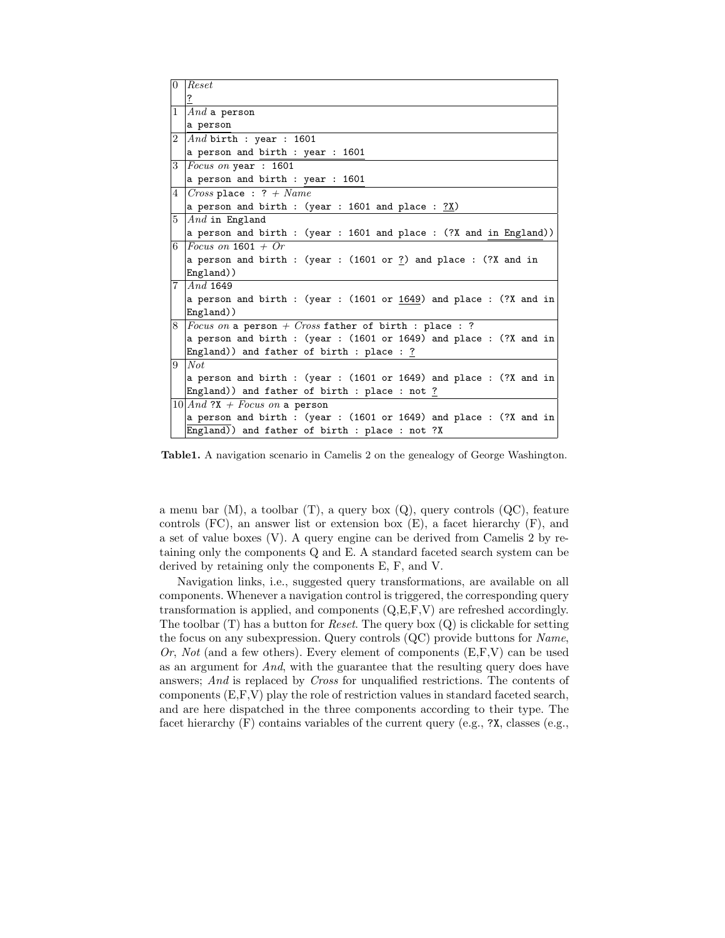| $\overline{0}$ | Reset                                                                 |
|----------------|-----------------------------------------------------------------------|
|                | $\overline{\mathbf{?}}$                                               |
| $\mathbf{1}$   | $ And$ a person                                                       |
|                | a person                                                              |
|                | $2 \mid And$ birth : year : 1601                                      |
|                | a person and birth : year : 1601                                      |
| 3              | $ Focus\> on\> year\> : \> 1601$                                      |
|                | a person and birth : year : 1601                                      |
|                | 4   $Cross$ place : ? + Name                                          |
|                | a person and birth : (year : 1601 and place : $?X$ )                  |
| 5              | $ And$ in England                                                     |
|                | a person and birth : (year : 1601 and place : (?X and in England))    |
| 6              | Focus on $1601 + Or$                                                  |
|                | a person and birth : (year : (1601 or ?) and place : (?X and in       |
|                | England))                                                             |
| $\overline{7}$ | And 1649                                                              |
|                | a person and birth : (year : (1601 or 1649) and place : (?X and in    |
|                | England))                                                             |
| 8              | <i>Focus on</i> a person $+$ <i>Cross</i> father of birth : place : ? |
|                | a person and birth : (year : (1601 or 1649) and place : (?X and in    |
|                | England)) and father of birth : place : ?                             |
| 9              | Not                                                                   |
|                | a person and birth : (year : (1601 or 1649) and place : (?X and in    |
|                | England)) and father of birth : place : not $?$                       |
|                | $10 And$ ?X + Focus on a person                                       |
|                | a person and birth : (year : (1601 or 1649) and place : (?X and in    |
|                | England)) and father of birth : place : not ?X                        |

Table1. A navigation scenario in Camelis 2 on the genealogy of George Washington.

a menu bar  $(M)$ , a toolbar  $(T)$ , a query box  $(Q)$ , query controls  $(QC)$ , feature controls (FC), an answer list or extension box (E), a facet hierarchy (F), and a set of value boxes (V). A query engine can be derived from Camelis 2 by retaining only the components Q and E. A standard faceted search system can be derived by retaining only the components E, F, and V.

Navigation links, i.e., suggested query transformations, are available on all components. Whenever a navigation control is triggered, the corresponding query transformation is applied, and components (Q,E,F,V) are refreshed accordingly. The toolbar  $(T)$  has a button for *Reset*. The query box  $(Q)$  is clickable for setting the focus on any subexpression. Query controls (QC) provide buttons for Name, Or, Not (and a few others). Every element of components  $(E, F, V)$  can be used as an argument for And, with the guarantee that the resulting query does have answers; And is replaced by Cross for unqualified restrictions. The contents of components (E,F,V) play the role of restriction values in standard faceted search, and are here dispatched in the three components according to their type. The facet hierarchy (F) contains variables of the current query (e.g., ?X, classes (e.g.,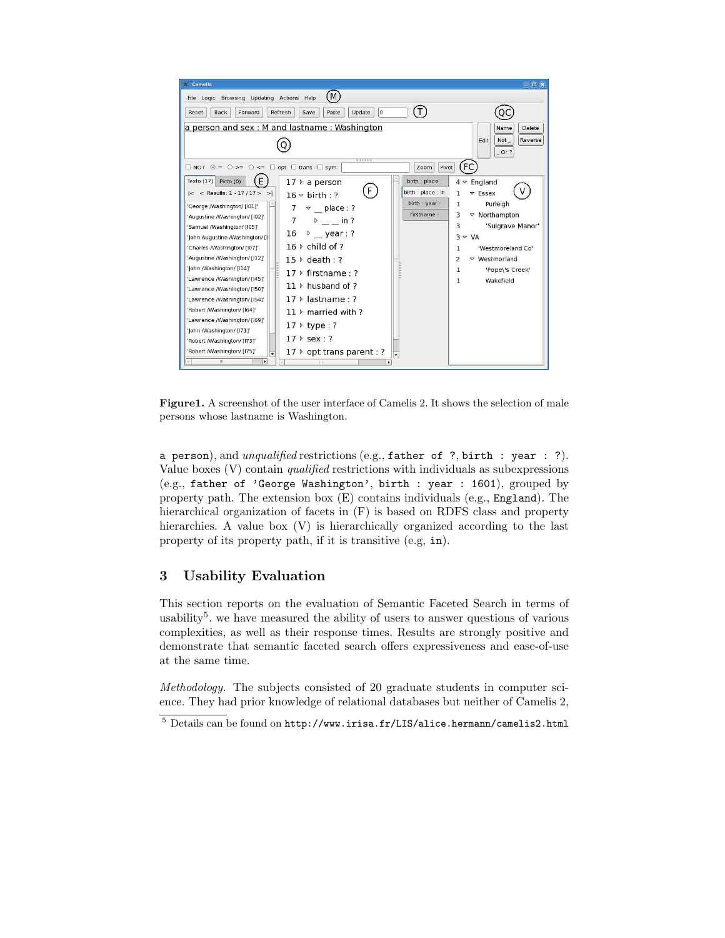

Figure1. A screenshot of the user interface of Camelis 2. It shows the selection of male persons whose lastname is Washington.

a person), and *unqualified* restrictions (e.g., father of ?, birth : year : ?). Value boxes  $(V)$  contain *qualified* restrictions with individuals as subexpressions (e.g., father of 'George Washington', birth : year : 1601), grouped by property path. The extension box (E) contains individuals (e.g., England). The hierarchical organization of facets in (F) is based on RDFS class and property hierarchies. A value box  $(V)$  is hierarchically organized according to the last property of its property path, if it is transitive (e.g, in).

# 3 Usability Evaluation

This section reports on the evaluation of Semantic Faceted Search in terms of usability<sup>5</sup>, we have measured the ability of users to answer questions of various complexities, as well as their response times. Results are strongly positive and demonstrate that semantic faceted search offers expressiveness and ease-of-use at the same time.

Methodology. The subjects consisted of 20 graduate students in computer science. They had prior knowledge of relational databases but neither of Camelis 2,

 $^5$  Details can be found on  $\texttt{http://www.irisa.fr/LIS/alice.hermann/camelis2.html}$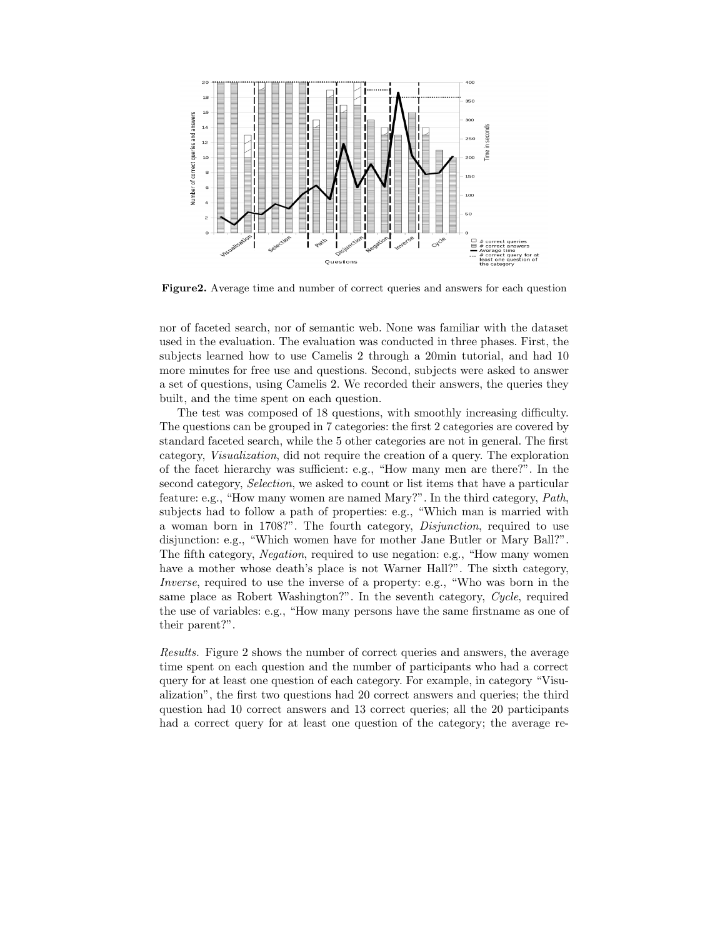

Figure2. Average time and number of correct queries and answers for each question

nor of faceted search, nor of semantic web. None was familiar with the dataset used in the evaluation. The evaluation was conducted in three phases. First, the subjects learned how to use Camelis 2 through a 20min tutorial, and had 10 more minutes for free use and questions. Second, subjects were asked to answer a set of questions, using Camelis 2. We recorded their answers, the queries they built, and the time spent on each question.

The test was composed of 18 questions, with smoothly increasing difficulty. The questions can be grouped in 7 categories: the first 2 categories are covered by standard faceted search, while the 5 other categories are not in general. The first category, Visualization, did not require the creation of a query. The exploration of the facet hierarchy was sufficient: e.g., "How many men are there?". In the second category, Selection, we asked to count or list items that have a particular feature: e.g., "How many women are named Mary?". In the third category, Path, subjects had to follow a path of properties: e.g., "Which man is married with a woman born in 1708?". The fourth category, Disjunction, required to use disjunction: e.g., "Which women have for mother Jane Butler or Mary Ball?". The fifth category, Negation, required to use negation: e.g., "How many women have a mother whose death's place is not Warner Hall?". The sixth category, Inverse, required to use the inverse of a property: e.g., "Who was born in the same place as Robert Washington?". In the seventh category, Cycle, required the use of variables: e.g., "How many persons have the same firstname as one of their parent?".

Results. Figure 2 shows the number of correct queries and answers, the average time spent on each question and the number of participants who had a correct query for at least one question of each category. For example, in category "Visualization", the first two questions had 20 correct answers and queries; the third question had 10 correct answers and 13 correct queries; all the 20 participants had a correct query for at least one question of the category; the average re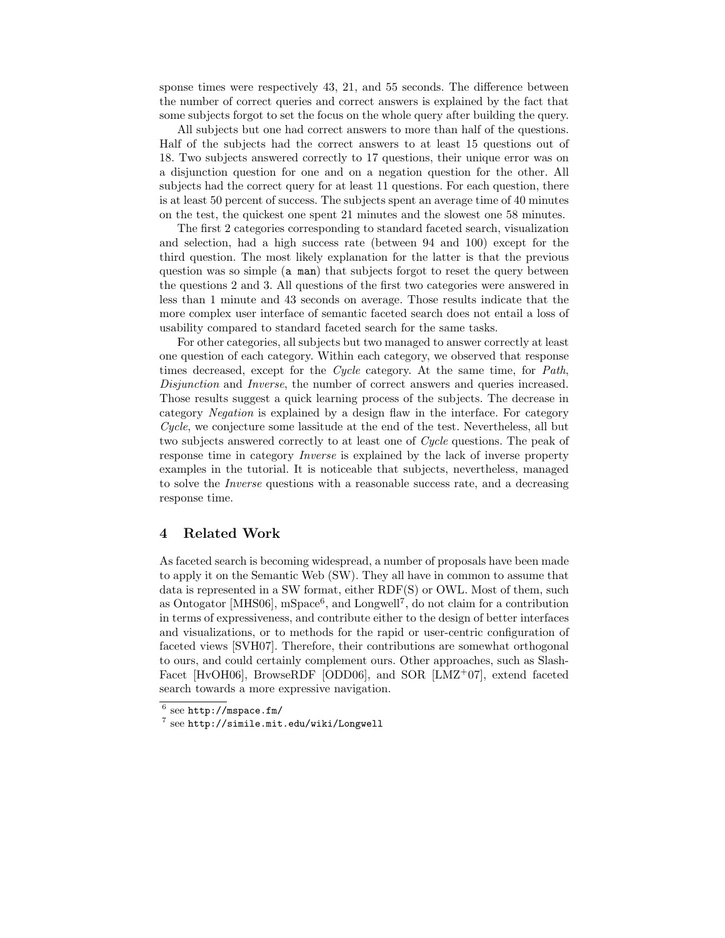sponse times were respectively 43, 21, and 55 seconds. The difference between the number of correct queries and correct answers is explained by the fact that some subjects forgot to set the focus on the whole query after building the query.

All subjects but one had correct answers to more than half of the questions. Half of the subjects had the correct answers to at least 15 questions out of 18. Two subjects answered correctly to 17 questions, their unique error was on a disjunction question for one and on a negation question for the other. All subjects had the correct query for at least 11 questions. For each question, there is at least 50 percent of success. The subjects spent an average time of 40 minutes on the test, the quickest one spent 21 minutes and the slowest one 58 minutes.

The first 2 categories corresponding to standard faceted search, visualization and selection, had a high success rate (between 94 and 100) except for the third question. The most likely explanation for the latter is that the previous question was so simple (a man) that subjects forgot to reset the query between the questions 2 and 3. All questions of the first two categories were answered in less than 1 minute and 43 seconds on average. Those results indicate that the more complex user interface of semantic faceted search does not entail a loss of usability compared to standard faceted search for the same tasks.

For other categories, all subjects but two managed to answer correctly at least one question of each category. Within each category, we observed that response times decreased, except for the Cycle category. At the same time, for Path, Disjunction and Inverse, the number of correct answers and queries increased. Those results suggest a quick learning process of the subjects. The decrease in category Negation is explained by a design flaw in the interface. For category Cycle, we conjecture some lassitude at the end of the test. Nevertheless, all but two subjects answered correctly to at least one of Cycle questions. The peak of response time in category Inverse is explained by the lack of inverse property examples in the tutorial. It is noticeable that subjects, nevertheless, managed to solve the Inverse questions with a reasonable success rate, and a decreasing response time.

### 4 Related Work

As faceted search is becoming widespread, a number of proposals have been made to apply it on the Semantic Web (SW). They all have in common to assume that data is represented in a SW format, either RDF(S) or OWL. Most of them, such as Ontogator [MHS06], mSpace<sup>6</sup>, and Longwell<sup>7</sup>, do not claim for a contribution in terms of expressiveness, and contribute either to the design of better interfaces and visualizations, or to methods for the rapid or user-centric configuration of faceted views [SVH07]. Therefore, their contributions are somewhat orthogonal to ours, and could certainly complement ours. Other approaches, such as Slash-Facet [HvOH06], BrowseRDF [ODD06], and SOR [LMZ+07], extend faceted search towards a more expressive navigation.

 $^6$  see http://mspace.fm/

<sup>7</sup> see http://simile.mit.edu/wiki/Longwell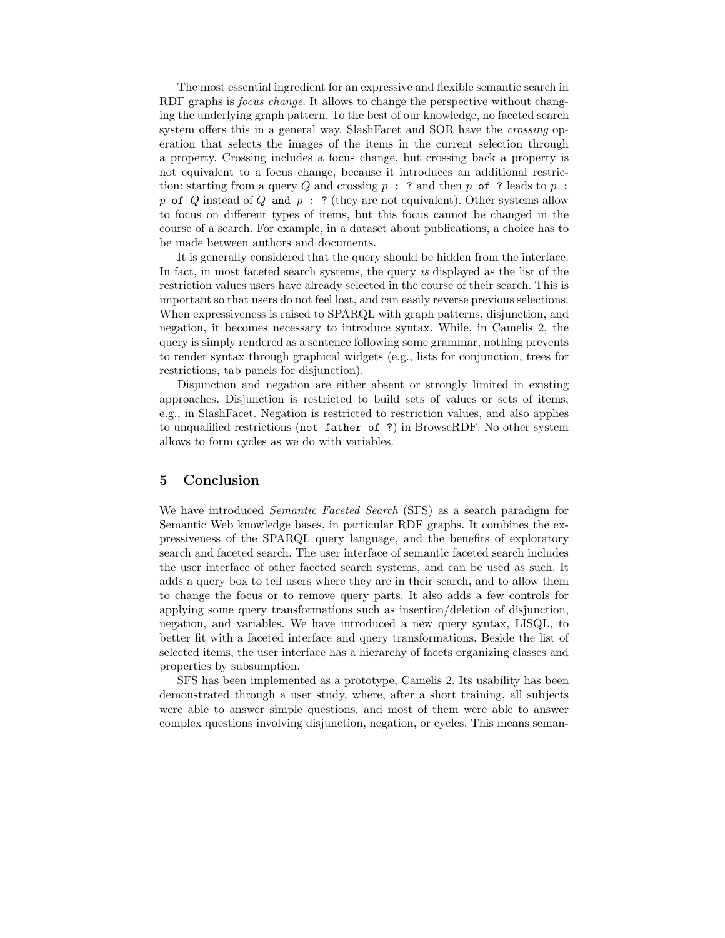The most essential ingredient for an expressive and flexible semantic search in RDF graphs is *focus change*. It allows to change the perspective without changing the underlying graph pattern. To the best of our knowledge, no faceted search system offers this in a general way. SlashFacet and SOR have the *crossing* operation that selects the images of the items in the current selection through a property. Crossing includes a focus change, but crossing back a property is not equivalent to a focus change, because it introduces an additional restriction: starting from a query Q and crossing  $p : ?$  and then p of ? leads to p : p of Q instead of Q and p : ? (they are not equivalent). Other systems allow to focus on different types of items, but this focus cannot be changed in the course of a search. For example, in a dataset about publications, a choice has to be made between authors and documents.

It is generally considered that the query should be hidden from the interface. In fact, in most faceted search systems, the query is displayed as the list of the restriction values users have already selected in the course of their search. This is important so that users do not feel lost, and can easily reverse previous selections. When expressiveness is raised to SPARQL with graph patterns, disjunction, and negation, it becomes necessary to introduce syntax. While, in Camelis 2, the query is simply rendered as a sentence following some grammar, nothing prevents to render syntax through graphical widgets (e.g., lists for conjunction, trees for restrictions, tab panels for disjunction).

Disjunction and negation are either absent or strongly limited in existing approaches. Disjunction is restricted to build sets of values or sets of items, e.g., in SlashFacet. Negation is restricted to restriction values, and also applies to unqualified restrictions (not father of ?) in BrowseRDF. No other system allows to form cycles as we do with variables.

### 5 Conclusion

We have introduced *Semantic Faceted Search* (SFS) as a search paradigm for Semantic Web knowledge bases, in particular RDF graphs. It combines the expressiveness of the SPARQL query language, and the benefits of exploratory search and faceted search. The user interface of semantic faceted search includes the user interface of other faceted search systems, and can be used as such. It adds a query box to tell users where they are in their search, and to allow them to change the focus or to remove query parts. It also adds a few controls for applying some query transformations such as insertion/deletion of disjunction, negation, and variables. We have introduced a new query syntax, LISQL, to better fit with a faceted interface and query transformations. Beside the list of selected items, the user interface has a hierarchy of facets organizing classes and properties by subsumption.

SFS has been implemented as a prototype, Camelis 2. Its usability has been demonstrated through a user study, where, after a short training, all subjects were able to answer simple questions, and most of them were able to answer complex questions involving disjunction, negation, or cycles. This means seman